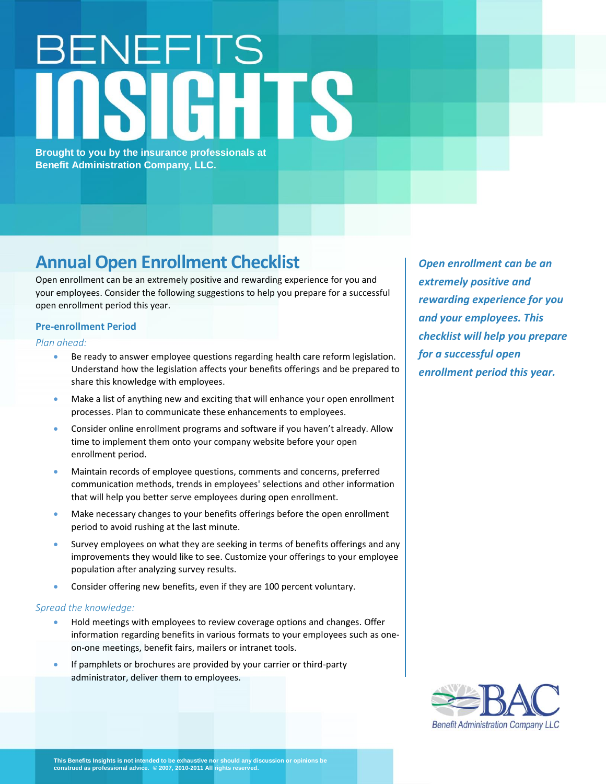# BENEFITS

**Brought to you by the insurance professionals at Benefit Administration Company, LLC.**

# **Annual Open Enrollment Checklist**

Open enrollment can be an extremely positive and rewarding experience for you and your employees. Consider the following suggestions to help you prepare for a successful open enrollment period this year.

# **Pre-enrollment Period**

*Plan ahead:*

- Be ready to answer employee questions regarding health care reform legislation. Understand how the legislation affects your benefits offerings and be prepared to share this knowledge with employees.
- Make a list of anything new and exciting that will enhance your open enrollment processes. Plan to communicate these enhancements to employees.
- Consider online enrollment programs and software if you haven't already. Allow time to implement them onto your company website before your open enrollment period.
- Maintain records of employee questions, comments and concerns, preferred communication methods, trends in employees' selections and other information that will help you better serve employees during open enrollment.
- Make necessary changes to your benefits offerings before the open enrollment period to avoid rushing at the last minute.
- Survey employees on what they are seeking in terms of benefits offerings and any improvements they would like to see. Customize your offerings to your employee population after analyzing survey results.
- Consider offering new benefits, even if they are 100 percent voluntary.

# *Spread the knowledge:*

- Hold meetings with employees to review coverage options and changes. Offer information regarding benefits in various formats to your employees such as oneon-one meetings, benefit fairs, mailers or intranet tools.
- If pamphlets or brochures are provided by your carrier or third-party administrator, deliver them to employees.

*Open enrollment can be an extremely positive and rewarding experience for you and your employees. This checklist will help you prepare for a successful open enrollment period this year.*

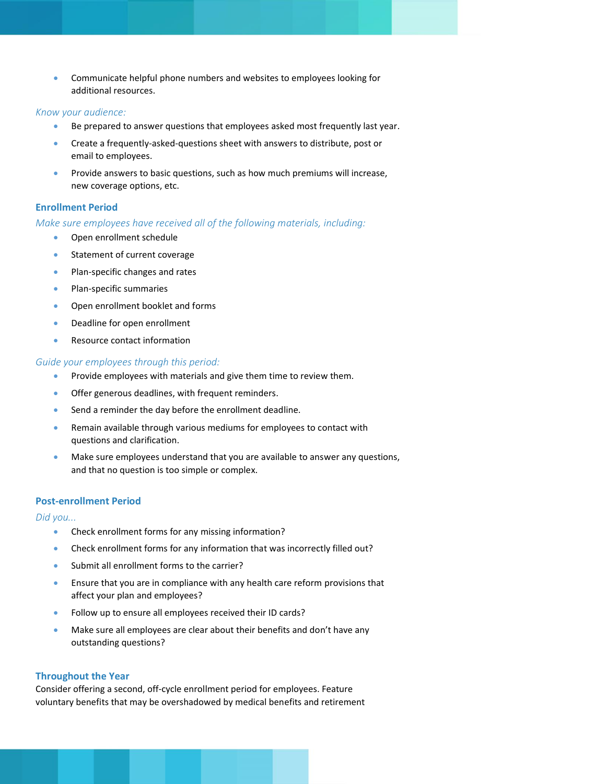• Communicate helpful phone numbers and websites to employees looking for additional resources.

#### *Know your audience:*

- Be prepared to answer questions that employees asked most frequently last year.
- Create a frequently-asked-questions sheet with answers to distribute, post or email to employees.
- Provide answers to basic questions, such as how much premiums will increase, new coverage options, etc.

# **Enrollment Period**

# *Make sure employees have received all of the following materials, including:*

- Open enrollment schedule
- Statement of current coverage
- Plan-specific changes and rates
- Plan-specific summaries
- Open enrollment booklet and forms
- Deadline for open enrollment
- Resource contact information

#### *Guide your employees through this period:*

- Provide employees with materials and give them time to review them.
- Offer generous deadlines, with frequent reminders.
- Send a reminder the day before the enrollment deadline.
- Remain available through various mediums for employees to contact with questions and clarification.
- Make sure employees understand that you are available to answer any questions, and that no question is too simple or complex.

## **Post-enrollment Period**

#### *Did you...*

- Check enrollment forms for any missing information?
- Check enrollment forms for any information that was incorrectly filled out?
- Submit all enrollment forms to the carrier?
- Ensure that you are in compliance with any health care reform provisions that affect your plan and employees?
- Follow up to ensure all employees received their ID cards?
- Make sure all employees are clear about their benefits and don't have any outstanding questions?

#### **Throughout the Year**

Consider offering a second, off-cycle enrollment period for employees. Feature voluntary benefits that may be overshadowed by medical benefits and retirement